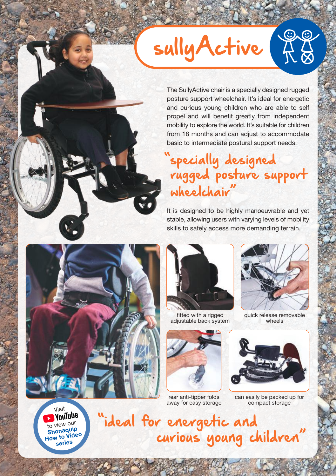## $\circledcirc$ sully Active

The SullyActive chair is a specially designed rugged posture support wheelchair. It's ideal for energetic and curious young children who are able to self propel and will benefit greatly from independent mobility to explore the world. It's suitable for children from 18 months and can adjust to accommodate basic to intermediate postural support needs.

## "specially designed rugged posture support wheelchair"

It is designed to be highly manoeuvrable and yet stable, allowing users with varying levels of mobility skills to safely access more demanding terrain.





fitted with a rigged adjustable back system



quick release removable wheels







can easily be packed up for compact storage

Visit<br>**YouTube** to view our **Shonaquip How to Video series**

"ideal for energetic and curious young children"